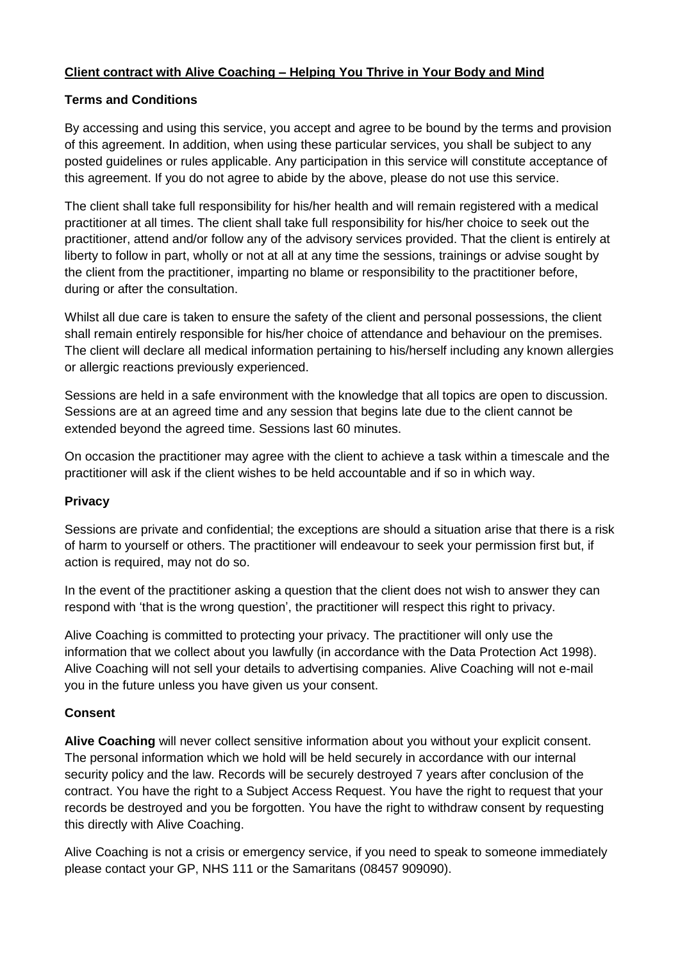# **Client contract with Alive Coaching – Helping You Thrive in Your Body and Mind**

## **Terms and Conditions**

By accessing and using this service, you accept and agree to be bound by the terms and provision of this agreement. In addition, when using these particular services, you shall be subject to any posted guidelines or rules applicable. Any participation in this service will constitute acceptance of this agreement. If you do not agree to abide by the above, please do not use this service.

The client shall take full responsibility for his/her health and will remain registered with a medical practitioner at all times. The client shall take full responsibility for his/her choice to seek out the practitioner, attend and/or follow any of the advisory services provided. That the client is entirely at liberty to follow in part, wholly or not at all at any time the sessions, trainings or advise sought by the client from the practitioner, imparting no blame or responsibility to the practitioner before, during or after the consultation.

Whilst all due care is taken to ensure the safety of the client and personal possessions, the client shall remain entirely responsible for his/her choice of attendance and behaviour on the premises. The client will declare all medical information pertaining to his/herself including any known allergies or allergic reactions previously experienced.

Sessions are held in a safe environment with the knowledge that all topics are open to discussion. Sessions are at an agreed time and any session that begins late due to the client cannot be extended beyond the agreed time. Sessions last 60 minutes.

On occasion the practitioner may agree with the client to achieve a task within a timescale and the practitioner will ask if the client wishes to be held accountable and if so in which way.

#### **Privacy**

Sessions are private and confidential; the exceptions are should a situation arise that there is a risk of harm to yourself or others. The practitioner will endeavour to seek your permission first but, if action is required, may not do so.

In the event of the practitioner asking a question that the client does not wish to answer they can respond with 'that is the wrong question', the practitioner will respect this right to privacy.

Alive Coaching is committed to protecting your privacy. The practitioner will only use the information that we collect about you lawfully (in accordance with the Data Protection Act 1998). Alive Coaching will not sell your details to advertising companies. Alive Coaching will not e-mail you in the future unless you have given us your consent.

# **Consent**

**Alive Coaching** will never collect sensitive information about you without your explicit consent. The personal information which we hold will be held securely in accordance with our internal security policy and the law. Records will be securely destroyed 7 years after conclusion of the contract. You have the right to a Subject Access Request. You have the right to request that your records be destroyed and you be forgotten. You have the right to withdraw consent by requesting this directly with Alive Coaching.

Alive Coaching is not a crisis or emergency service, if you need to speak to someone immediately please contact your GP, NHS 111 or the Samaritans (08457 909090).